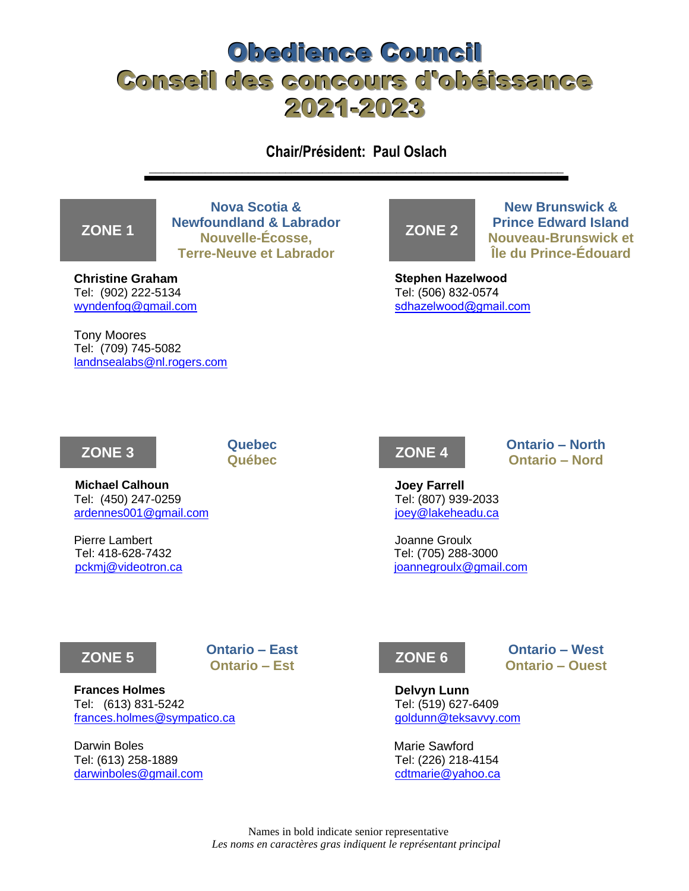# Obedience Council Conseil des concours d'obéissance 2021-2023

**Chair/Président: Paul Oslach** \_\_\_\_\_\_\_\_\_\_\_\_\_\_\_\_\_\_\_\_\_\_\_\_\_\_\_\_\_\_\_\_\_\_\_\_\_\_\_\_\_\_\_\_\_\_\_\_\_\_\_\_\_\_\_\_\_\_\_\_\_\_\_\_\_\_\_

### **ZONE 1**

**Nova Scotia & Newfoundland & Labrador Nouvelle-Écosse, Terre-Neuve et Labrador**

**Christine Graham** Tel: (902) 222-5134 [wyndenfog@gmail.com](mailto:wyndenfog@gmail.com)

Tony Moores Tel: (709) 745-5082 [landnsealabs@nl.rogers.com](mailto:landnsealabs@nl.rogers.com)



**New Brunswick & Prince Edward Island Nouveau-Brunswick et Île du Prince-Édouard**

**Stephen Hazelwood** Tel: (506) 832-0574 [sdhazelwood@gmail.com](mailto:sdhazelwood@gmail.com)



**Michael Calhoun Joey Farrell** Tel: (450) 247-0259 Tel: (807) 939-2033 [ardennes001@gmail.com](mailto:maccal@targo.ca) in the state of the state of the state of the state of the state of the state of the state of the state of the state of the state of the state of the state of the state of the state of the state of th

Pierre Lambert **Voltage Community** Channels and The Joanne Groulx Tel: 418-628-7432 Tel: (705) 288-3000



**Québec ZONE 4 Ontario – North Ontario – Nord**

[pckmj@videotron.ca](mailto:pckmj@videotron.ca) [joannegroulx@gmail.com](mailto:joannegroulx@gmail.com)



**Frances Holmes Delvyn Lunn** Tel: (613) 831-5242 Tel: (519) 627-6409 [frances.holmes@sympatico.ca](mailto:frances.holmes@sympatico.ca) [goldunn@teksavvy.com](mailto:goldunn@teksavvy.com)

Darwin Boles **Marie Sawford** Marie Sawford Tel: (613) 258-1889 Tel: (226) 218-4154 [darwinboles@gmail.com](mailto:darwinboles@gmail.com) [cdtmarie@yahoo.ca](mailto:cdtmarie@yahoo.ca)



**Ontario – Ouest**

Names in bold indicate senior representative *Les noms en caractères gras indiquent le représentant principal*